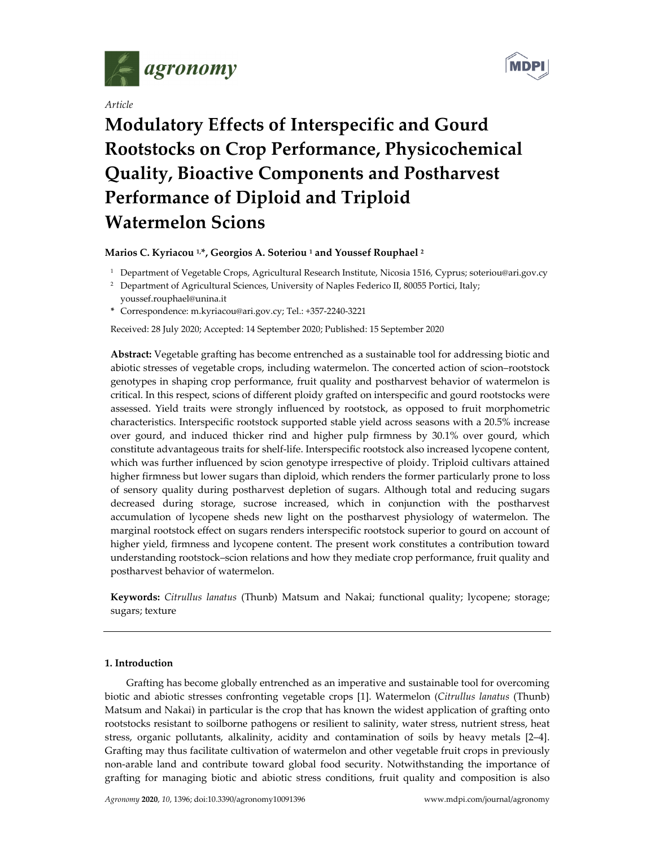

*Article*



# **Modulatory Effects of Interspecific and Gourd Rootstocks on Crop Performance, Physicochemical Quality, Bioactive Components and Postharvest Performance of Diploid and Triploid Watermelon Scions**

**Marios C. Kyriacou 1,\*, Georgios A. Soteriou <sup>1</sup> and Youssef Rouphael <sup>2</sup>**

<sup>1</sup> Department of Vegetable Crops, Agricultural Research Institute, Nicosia 1516, Cyprus; soteriou@ari.gov.cy

**\*** Correspondence: m.kyriacou@ari.gov.cy; Tel.: +357‐2240‐3221

Received: 28 July 2020; Accepted: 14 September 2020; Published: 15 September 2020

**Abstract:** Vegetable grafting has become entrenched as a sustainable tool for addressing biotic and abiotic stresses of vegetable crops, including watermelon. The concerted action of scion–rootstock genotypes in shaping crop performance, fruit quality and postharvest behavior of watermelon is critical. In this respect, scions of different ploidy grafted on interspecific and gourd rootstocks were assessed. Yield traits were strongly influenced by rootstock, as opposed to fruit morphometric characteristics. Interspecific rootstock supported stable yield across seasons with a 20.5% increase over gourd, and induced thicker rind and higher pulp firmness by 30.1% over gourd, which constitute advantageous traits for shelf-life. Interspecific rootstock also increased lycopene content, which was further influenced by scion genotype irrespective of ploidy. Triploid cultivars attained higher firmness but lower sugars than diploid, which renders the former particularly prone to loss of sensory quality during postharvest depletion of sugars. Although total and reducing sugars decreased during storage, sucrose increased, which in conjunction with the postharvest accumulation of lycopene sheds new light on the postharvest physiology of watermelon. The marginal rootstock effect on sugars renders interspecific rootstock superior to gourd on account of higher yield, firmness and lycopene content. The present work constitutes a contribution toward understanding rootstock–scion relations and how they mediate crop performance, fruit quality and postharvest behavior of watermelon.

**Keywords:** *Citrullus lanatus* (Thunb) Matsum and Nakai; functional quality; lycopene; storage; sugars; texture

## **1. Introduction**

Grafting has become globally entrenched as an imperative and sustainable tool for overcoming biotic and abiotic stresses confronting vegetable crops [1]. Watermelon (*Citrullus lanatus* (Thunb) Matsum and Nakai) in particular is the crop that has known the widest application of grafting onto rootstocks resistant to soilborne pathogens or resilient to salinity, water stress, nutrient stress, heat stress, organic pollutants, alkalinity, acidity and contamination of soils by heavy metals [2–4]. Grafting may thus facilitate cultivation of watermelon and other vegetable fruit crops in previously non‐arable land and contribute toward global food security. Notwithstanding the importance of grafting for managing biotic and abiotic stress conditions, fruit quality and composition is also

<sup>&</sup>lt;sup>2</sup> Department of Agricultural Sciences, University of Naples Federico II, 80055 Portici, Italy; youssef.rouphael@unina.it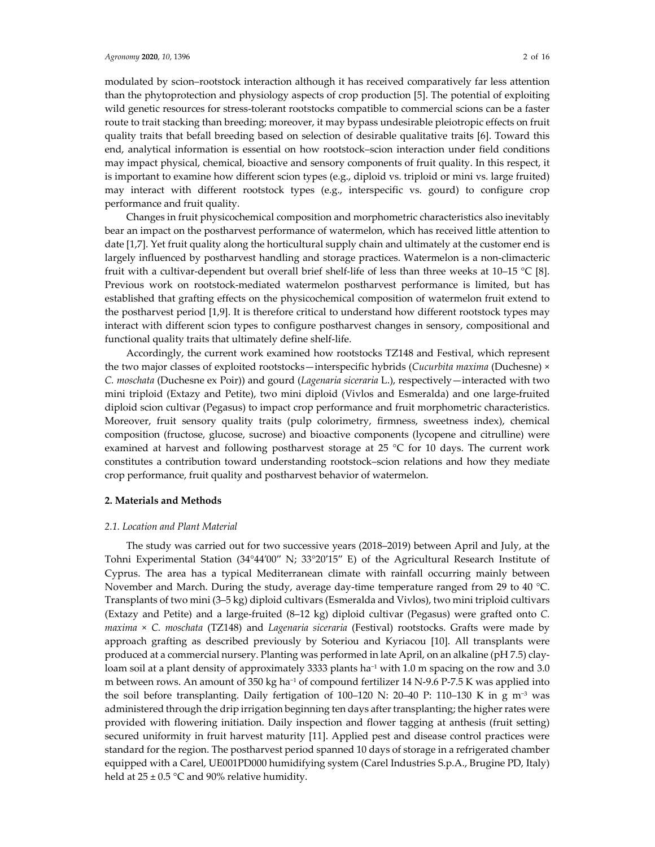modulated by scion–rootstock interaction although it has received comparatively far less attention than the phytoprotection and physiology aspects of crop production [5]. The potential of exploiting wild genetic resources for stress-tolerant rootstocks compatible to commercial scions can be a faster route to trait stacking than breeding; moreover, it may bypass undesirable pleiotropic effects on fruit quality traits that befall breeding based on selection of desirable qualitative traits [6]. Toward this end, analytical information is essential on how rootstock–scion interaction under field conditions may impact physical, chemical, bioactive and sensory components of fruit quality. In this respect, it is important to examine how different scion types (e.g., diploid vs. triploid or mini vs. large fruited) may interact with different rootstock types (e.g., interspecific vs. gourd) to configure crop performance and fruit quality.

Changes in fruit physicochemical composition and morphometric characteristics also inevitably bear an impact on the postharvest performance of watermelon, which has received little attention to date [1,7]. Yet fruit quality along the horticultural supply chain and ultimately at the customer end is largely influenced by postharvest handling and storage practices. Watermelon is a non‐climacteric fruit with a cultivar-dependent but overall brief shelf-life of less than three weeks at 10–15 °C [8]. Previous work on rootstock‐mediated watermelon postharvest performance is limited, but has established that grafting effects on the physicochemical composition of watermelon fruit extend to the postharvest period [1,9]. It is therefore critical to understand how different rootstock types may interact with different scion types to configure postharvest changes in sensory, compositional and functional quality traits that ultimately define shelf‐life.

Accordingly, the current work examined how rootstocks TZ148 and Festival, which represent the two major classes of exploited rootstocks—interspecific hybrids (*Cucurbita maxima* (Duchesne) × *C. moschata* (Duchesne ex Poir)) and gourd (*Lagenaria siceraria* L.), respectively—interacted with two mini triploid (Extazy and Petite), two mini diploid (Vivlos and Esmeralda) and one large‐fruited diploid scion cultivar (Pegasus) to impact crop performance and fruit morphometric characteristics. Moreover, fruit sensory quality traits (pulp colorimetry, firmness, sweetness index), chemical composition (fructose, glucose, sucrose) and bioactive components (lycopene and citrulline) were examined at harvest and following postharvest storage at 25 °C for 10 days. The current work constitutes a contribution toward understanding rootstock–scion relations and how they mediate crop performance, fruit quality and postharvest behavior of watermelon.

## **2. Materials and Methods**

#### *2.1. Location and Plant Material*

The study was carried out for two successive years (2018–2019) between April and July, at the Tohni Experimental Station (34°44′00′′ N; 33°20′15′′ E) of the Agricultural Research Institute of Cyprus. The area has a typical Mediterranean climate with rainfall occurring mainly between November and March. During the study, average day-time temperature ranged from 29 to 40 °C. Transplants of two mini (3–5 kg) diploid cultivars (Esmeralda and Vivlos), two mini triploid cultivars (Extazy and Petite) and a large‐fruited (8–12 kg) diploid cultivar (Pegasus) were grafted onto *C. maxima* × *C. moschata* (TZ148) and *Lagenaria siceraria* (Festival) rootstocks. Grafts were made by approach grafting as described previously by Soteriou and Kyriacou [10]. All transplants were produced at a commercial nursery. Planting was performed in late April, on an alkaline (pH 7.5) clay‐ loam soil at a plant density of approximately 3333 plants ha−<sup>1</sup> with 1.0 m spacing on the row and 3.0 m between rows. An amount of 350 kg ha<sup>-1</sup> of compound fertilizer 14 N-9.6 P-7.5 K was applied into the soil before transplanting. Daily fertigation of 100–120 N: 20–40 P: 110–130 K in g m<sup>-3</sup> was administered through the drip irrigation beginning ten days after transplanting; the higher rates were provided with flowering initiation. Daily inspection and flower tagging at anthesis (fruit setting) secured uniformity in fruit harvest maturity [11]. Applied pest and disease control practices were standard for the region. The postharvest period spanned 10 days of storage in a refrigerated chamber equipped with a Carel, UE001PD000 humidifying system (Carel Industries S.p.A., Brugine PD, Italy) held at  $25 \pm 0.5$  °C and 90% relative humidity.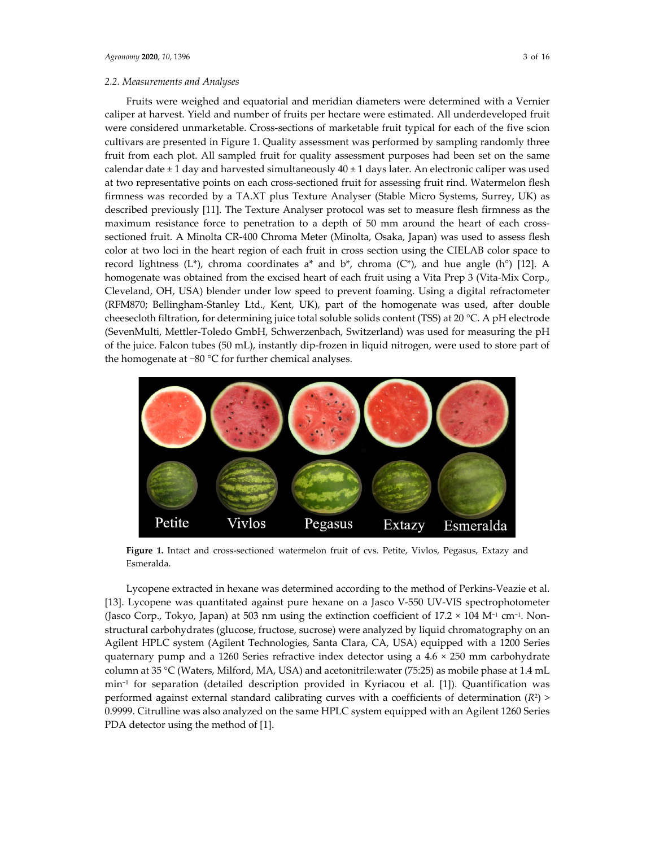Fruits were weighed and equatorial and meridian diameters were determined with a Vernier caliper at harvest. Yield and number of fruits per hectare were estimated. All underdeveloped fruit were considered unmarketable. Cross‐sections of marketable fruit typical for each of the five scion cultivars are presented in Figure 1. Quality assessment was performed by sampling randomly three fruit from each plot. All sampled fruit for quality assessment purposes had been set on the same calendar date  $\pm 1$  day and harvested simultaneously  $40 \pm 1$  days later. An electronic caliper was used at two representative points on each cross‐sectioned fruit for assessing fruit rind. Watermelon flesh firmness was recorded by a TA.XT plus Texture Analyser (Stable Micro Systems, Surrey, UK) as described previously [11]. The Texture Analyser protocol was set to measure flesh firmness as the maximum resistance force to penetration to a depth of 50 mm around the heart of each crosssectioned fruit. A Minolta CR‐400 Chroma Meter (Minolta, Osaka, Japan) was used to assess flesh color at two loci in the heart region of each fruit in cross section using the CIELAB color space to record lightness (L\*), chroma coordinates  $a^*$  and  $b^*$ , chroma (C\*), and hue angle (h°) [12]. A homogenate was obtained from the excised heart of each fruit using a Vita Prep 3 (Vita-Mix Corp., Cleveland, OH, USA) blender under low speed to prevent foaming. Using a digital refractometer (RFM870; Bellingham‐Stanley Ltd., Kent, UK), part of the homogenate was used, after double cheesecloth filtration, for determining juice total soluble solids content (TSS) at 20 °C. A pH electrode (SevenMulti, Mettler‐Toledo GmbH, Schwerzenbach, Switzerland) was used for measuring the pH of the juice. Falcon tubes (50 mL), instantly dip‐frozen in liquid nitrogen, were used to store part of the homogenate at −80 °C for further chemical analyses.



**Figure 1.** Intact and cross‐sectioned watermelon fruit of cvs. Petite, Vivlos, Pegasus, Extazy and Esmeralda.

Lycopene extracted in hexane was determined according to the method of Perkins‐Veazie et al. [13]. Lycopene was quantitated against pure hexane on a Jasco V-550 UV-VIS spectrophotometer (Jasco Corp., Tokyo, Japan) at 503 nm using the extinction coefficient of 17.2 × 104 M−<sup>1</sup> cm−1. Non‐ structural carbohydrates (glucose, fructose, sucrose) were analyzed by liquid chromatography on an Agilent HPLC system (Agilent Technologies, Santa Clara, CA, USA) equipped with a 1200 Series quaternary pump and a 1260 Series refractive index detector using a 4.6 × 250 mm carbohydrate column at 35 °C (Waters, Milford, MA, USA) and acetonitrile:water (75:25) as mobile phase at 1.4 mL min−<sup>1</sup> for separation (detailed description provided in Kyriacou et al. [1]). Quantification was performed against external standard calibrating curves with a coefficients of determination  $(R^2)$ 0.9999. Citrulline was also analyzed on the same HPLC system equipped with an Agilent 1260 Series PDA detector using the method of [1].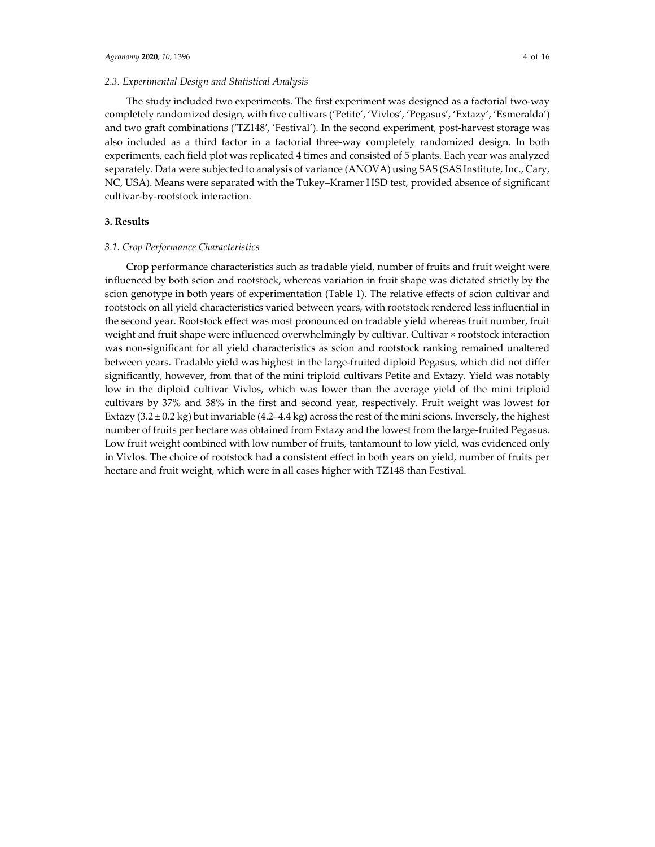## *2.3. Experimental Design and Statistical Analysis*

The study included two experiments. The first experiment was designed as a factorial two-way completely randomized design, with five cultivars ('Petite', 'Vivlos', 'Pegasus', 'Extazy', 'Esmeralda') and two graft combinations ('TZ148', 'Festival'). In the second experiment, post-harvest storage was also included as a third factor in a factorial three‐way completely randomized design. In both experiments, each field plot was replicated 4 times and consisted of 5 plants. Each year was analyzed separately. Data were subjected to analysis of variance (ANOVA) using SAS (SAS Institute, Inc., Cary, NC, USA). Means were separated with the Tukey–Kramer HSD test, provided absence of significant cultivar‐by‐rootstock interaction.

## **3. Results**

#### *3.1. Crop Performance Characteristics*

Crop performance characteristics such as tradable yield, number of fruits and fruit weight were influenced by both scion and rootstock, whereas variation in fruit shape was dictated strictly by the scion genotype in both years of experimentation (Table 1). The relative effects of scion cultivar and rootstock on all yield characteristics varied between years, with rootstock rendered less influential in the second year. Rootstock effect was most pronounced on tradable yield whereas fruit number, fruit weight and fruit shape were influenced overwhelmingly by cultivar. Cultivar × rootstock interaction was non‐significant for all yield characteristics as scion and rootstock ranking remained unaltered between years. Tradable yield was highest in the large‐fruited diploid Pegasus, which did not differ significantly, however, from that of the mini triploid cultivars Petite and Extazy. Yield was notably low in the diploid cultivar Vivlos, which was lower than the average yield of the mini triploid cultivars by 37% and 38% in the first and second year, respectively. Fruit weight was lowest for Extazy  $(3.2 \pm 0.2 \text{ kg})$  but invariable  $(4.2-4.4 \text{ kg})$  across the rest of the mini scions. Inversely, the highest number of fruits per hectare was obtained from Extazy and the lowest from the large-fruited Pegasus. Low fruit weight combined with low number of fruits, tantamount to low yield, was evidenced only in Vivlos. The choice of rootstock had a consistent effect in both years on yield, number of fruits per hectare and fruit weight, which were in all cases higher with TZ148 than Festival.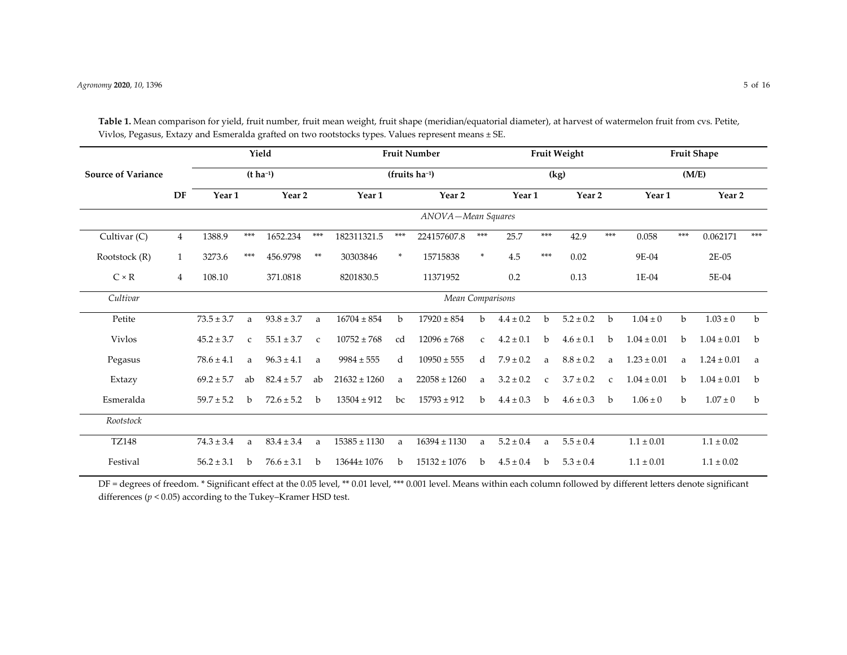|                           |                |                                            |                          | Yield             |               |                   |       | <b>Fruit Number</b>              |               |                    |               | Fruit Weight      |                | <b>Fruit Shape</b> |                |                 |             |  |  |  |
|---------------------------|----------------|--------------------------------------------|--------------------------|-------------------|---------------|-------------------|-------|----------------------------------|---------------|--------------------|---------------|-------------------|----------------|--------------------|----------------|-----------------|-------------|--|--|--|
| <b>Source of Variance</b> |                |                                            |                          | $(t \, ha^{-1})$  |               |                   |       | $(fruits ha^{-1})$               |               |                    |               | (kg)              |                |                    |                | (M/E)           |             |  |  |  |
|                           | DF             | Year <sub>1</sub>                          |                          | Year <sub>2</sub> |               | Year <sub>1</sub> |       | Year 2                           |               | Year <sub>1</sub>  |               | Year <sub>2</sub> |                | Year 1             |                | Year 2          |             |  |  |  |
|                           |                |                                            |                          |                   |               |                   |       | ANOVA-Mean Squares               |               |                    |               |                   |                |                    |                |                 |             |  |  |  |
| Cultivar (C)              | $\overline{4}$ | 1388.9<br>***<br>1652.234                  |                          |                   | $***$         | 182311321.5       | $***$ | 224157607.8                      | $***$         | 25.7               | ***           | 42.9              | $***$          | 0.058              | $***$          | 0.062171        | ***         |  |  |  |
| Rootstock (R)             | $\mathbf{1}$   | 3273.6                                     | ***<br>$**$<br>456.9798  |                   |               |                   | ×.    | 15715838                         | $\ast$        | 4.5                | $***$         | 0.02              |                | 9E-04              |                | 2E-05           |             |  |  |  |
| $C \times R$              | 4              | 108.10                                     |                          | 371.0818          |               | 8201830.5         |       | 11371952                         |               | 0.2                |               | 0.13              |                | 1E-04              |                | 5E-04           |             |  |  |  |
| Cultivar                  |                |                                            |                          |                   |               |                   |       | Mean Comparisons                 |               |                    |               |                   |                |                    |                |                 |             |  |  |  |
| Petite                    |                | $73.5 \pm 3.7$                             | $93.8 \pm 3.7$<br>a<br>a |                   |               | $16704 \pm 854$   | b     | $17920 \pm 854$                  | $\mathbf b$   | $4.4 \pm 0.2$      | $\mathbf b$   | $5.2 \pm 0.2$     | b              | $1.04 \pm 0$       | $\mathbf b$    | $1.03 \pm 0$    | b           |  |  |  |
| <b>Vivlos</b>             |                | $45.2 \pm 3.7$                             | $\mathcal{C}$            | $55.1 \pm 3.7$    | $\mathcal{C}$ | $10752 \pm 768$   | cd    | $12096 \pm 768$<br>$\mathcal{C}$ |               | $4.2 \pm 0.1$      | <sub>b</sub>  | $4.6 \pm 0.1$     | $\mathbf b$    | $1.04 \pm 0.01$    | h              | $1.04 \pm 0.01$ | b           |  |  |  |
| Pegasus                   |                | $78.6 \pm 4.1$                             | a                        | $96.3 \pm 4.1$    | a             | $9984 \pm 555$    | d     | $10950 \pm 555$                  | $\mathbf d$   | $7.9 \pm 0.2$<br>a |               | $8.8 \pm 0.2$     | a              | $1.23 \pm 0.01$    | a              | $1.24 \pm 0.01$ | a           |  |  |  |
| Extazy                    |                | $69.2 \pm 5.7$                             | ab                       | $82.4 \pm 5.7$    | ab            | $21632 \pm 1260$  | a     | $22058 \pm 1260$                 | a             | $3.2 \pm 0.2$      | $\mathcal{C}$ | $3.7 \pm 0.2$     | $\mathcal{C}$  | $1.04 \pm 0.01$    | h              | $1.04 \pm 0.01$ | b           |  |  |  |
| Esmeralda                 |                | $59.7 \pm 5.2$                             | $\mathbf{h}$             | $72.6 \pm 5.2$    | b             | $13504 \pm 912$   | bc    | $15793 \pm 912$                  | b.            | $4.4 \pm 0.3$      | b.            | $4.6 \pm 0.3$     | h              | $1.06 \pm 0$       | $\mathbf b$    | $1.07 \pm 0$    | $\mathbf b$ |  |  |  |
| Rootstock                 |                |                                            |                          |                   |               |                   |       |                                  |               |                    |               |                   |                |                    |                |                 |             |  |  |  |
| <b>TZ148</b>              |                | $74.3 \pm 3.4$<br>$83.4 \pm 3.4$<br>a<br>a |                          |                   |               | $15385 \pm 1130$  | a     | $16394 \pm 1130$                 | $5.2 \pm 0.4$ | a                  | $5.5 \pm 0.4$ |                   | $1.1 \pm 0.01$ |                    | $1.1 \pm 0.02$ |                 |             |  |  |  |
| Festival                  |                | $56.2 \pm 3.1$<br>$76.6 \pm 3.1$<br>b<br>b |                          |                   |               | $13644 \pm 1076$  | b.    | $15132 \pm 1076$                 | b.            | $4.5 \pm 0.4$      | b.            | $5.3 \pm 0.4$     |                | $1.1 \pm 0.01$     |                | $1.1 \pm 0.02$  |             |  |  |  |

**Table 1.** Mean comparison for yield, fruit number, fruit mean weight, fruit shape (meridian/equatorial diameter), at harvest of watermelon fruit from cvs. Petite, Vivlos, Pegasus, Extazy and Esmeralda grafted on two rootstocks types. Values represen<sup>t</sup> means <sup>±</sup> SE.

DF <sup>=</sup> degrees of freedom. \* Significant effect at the 0.05 level, \*\* 0.01 level, \*\*\* 0.001 level. Means within each column followed by different letters denote significant differences (*p* <sup>&</sup>lt; 0.05) according to the Tukey–Kramer HSD test.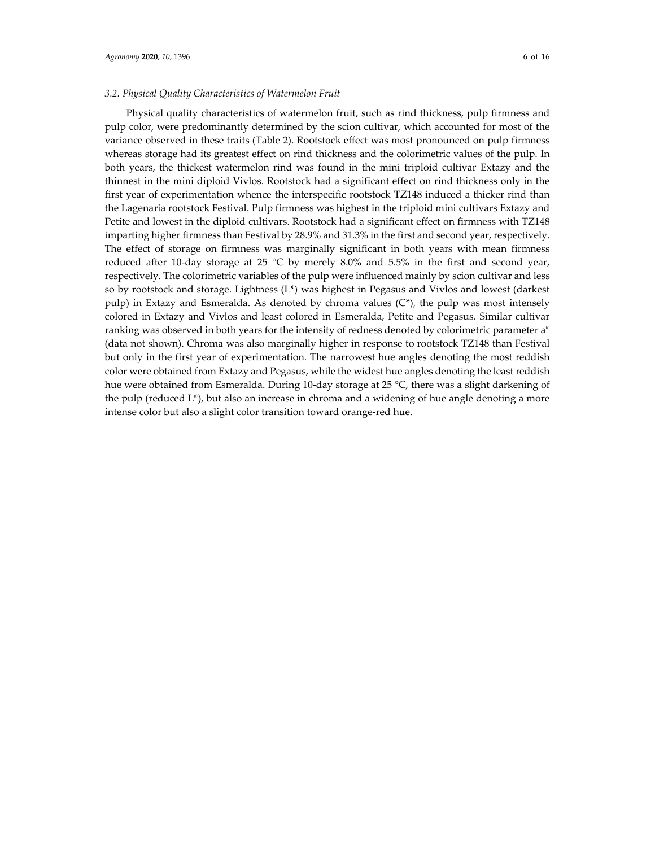## *3.2. Physical Quality Characteristics of Watermelon Fruit*

Physical quality characteristics of watermelon fruit, such as rind thickness, pulp firmness and pulp color, were predominantly determined by the scion cultivar, which accounted for most of the variance observed in these traits (Table 2). Rootstock effect was most pronounced on pulp firmness whereas storage had its greatest effect on rind thickness and the colorimetric values of the pulp. In both years, the thickest watermelon rind was found in the mini triploid cultivar Extazy and the thinnest in the mini diploid Vivlos. Rootstock had a significant effect on rind thickness only in the first year of experimentation whence the interspecific rootstock TZ148 induced a thicker rind than the Lagenaria rootstock Festival. Pulp firmness was highest in the triploid mini cultivars Extazy and Petite and lowest in the diploid cultivars. Rootstock had a significant effect on firmness with TZ148 imparting higher firmness than Festival by 28.9% and 31.3% in the first and second year, respectively. The effect of storage on firmness was marginally significant in both years with mean firmness reduced after 10-day storage at 25 °C by merely 8.0% and 5.5% in the first and second year, respectively. The colorimetric variables of the pulp were influenced mainly by scion cultivar and less so by rootstock and storage. Lightness (L\*) was highest in Pegasus and Vivlos and lowest (darkest pulp) in Extazy and Esmeralda. As denoted by chroma values  $(C^*)$ , the pulp was most intensely colored in Extazy and Vivlos and least colored in Esmeralda, Petite and Pegasus. Similar cultivar ranking was observed in both years for the intensity of redness denoted by colorimetric parameter a\* (data not shown). Chroma was also marginally higher in response to rootstock TZ148 than Festival but only in the first year of experimentation. The narrowest hue angles denoting the most reddish color were obtained from Extazy and Pegasus, while the widest hue angles denoting the least reddish hue were obtained from Esmeralda. During 10‐day storage at 25 °C, there was a slight darkening of the pulp (reduced L\*), but also an increase in chroma and a widening of hue angle denoting a more intense color but also a slight color transition toward orange-red hue.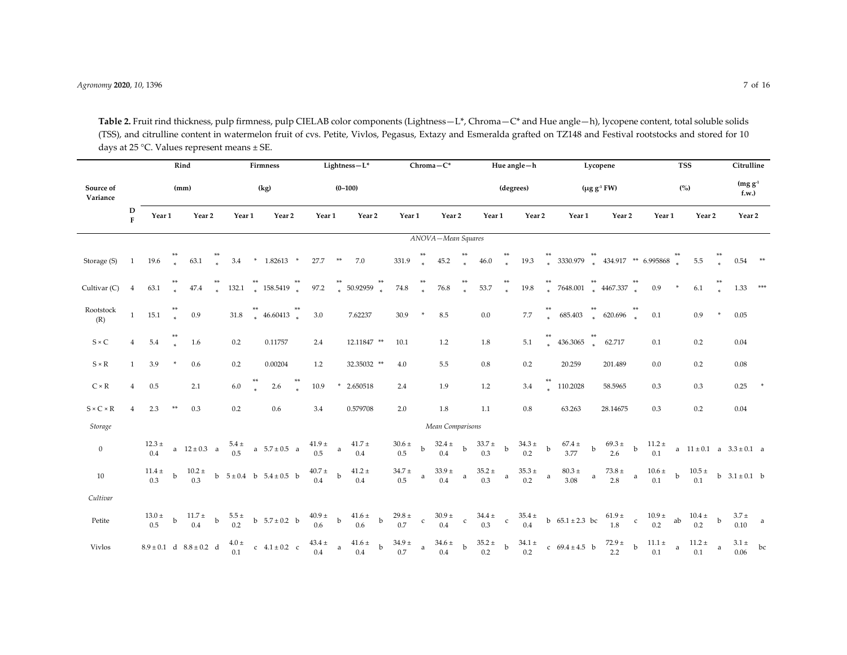**Table 2.** Fruit rind thickness, pulp firmness, pulp CIELAB color components (Lightness—L\*, Chroma—C\* and Hue angle—h), lycopene content, total soluble solids (TSS), and citrulline content in watermelon fruit of cvs. Petite, Vivlos, Pegasus, Extazy and Esmeralda grafted on TZ148 and Festival rootstocks and stored for 10 days at <sup>25</sup> °C. Values represen<sup>t</sup> means <sup>±</sup> SE.

|                                |                     | Rind           |             |                                 |      | Firmness         |     |                                     |             | Lightness-L*                                  |              |                                                |              |                         |                | $Chroma-C^*$          |              |                                                |             | Hue angle-h       |             |                                           |                      | Lycopene           |              |                       |              | Citrulline         |                    |                                  |          |
|--------------------------------|---------------------|----------------|-------------|---------------------------------|------|------------------|-----|-------------------------------------|-------------|-----------------------------------------------|--------------|------------------------------------------------|--------------|-------------------------|----------------|-----------------------|--------------|------------------------------------------------|-------------|-------------------|-------------|-------------------------------------------|----------------------|--------------------|--------------|-----------------------|--------------|--------------------|--------------------|----------------------------------|----------|
| Source of<br>Variance          |                     |                | (mm)        |                                 | (kg) |                  |     |                                     | $(0 - 100)$ |                                               |              |                                                |              |                         |                |                       |              |                                                | (degrees)   |                   |             |                                           | $(\mu g g^{-1} F W)$ |                    |              |                       | (%)          |                    | $(mg g-1)$<br>f.w. |                                  |          |
|                                | D<br>$\overline{F}$ | Year 1         |             | Year 2                          |      | Year 1           |     | Year 2                              |             | Year 1                                        |              | Year <sub>2</sub>                              |              | Year 1                  |                | Year 2                |              | Year 1                                         |             | Year <sub>2</sub> |             | Year 1                                    |                      | Year 2             |              | Year 1                |              | Year 2             |                    | Year 2                           |          |
|                                |                     |                |             |                                 |      |                  |     |                                     |             |                                               |              |                                                |              |                         |                | ANOVA-Mean Squares    |              |                                                |             |                   |             |                                           |                      |                    |              |                       |              |                    |                    |                                  |          |
| Storage (S)                    | -1                  | 19.6           |             | 63.1                            |      | 3.4              |     | * $1.82613$ *                       |             | 27.7                                          | $***$        | 7.0                                            |              | 331.9                   | **<br>*        | 45.2                  |              | 46.0                                           |             | 19.3              |             | $3330.979$ $*$ $434.917$ $*$ 6.995868 $*$ |                      |                    |              |                       |              | 5.5                |                    | $0.54$ **                        |          |
| Cultivar (C)                   | $\overline{4}$      | 63.1           |             | 47.4                            |      | 132.1            |     | ** $158.5419$ **                    |             | 97.2                                          | **<br>*      | 50.92959                                       | $\ast$       | 74.8                    | $\overline{a}$ | $76.8\,$              |              | 53.7                                           |             | 19.8              |             | $7648.001$ ** $4467.337$ **               |                      |                    |              | 0.9                   | $\ast$       | $6.1\,$            |                    | $1.33$ ***                       |          |
| Rootstock<br>(R)               | $\mathbf{1}$        | 15.1           |             | 0.9                             |      | 31.8             | $*$ | $46.60413$ **                       |             | 3.0                                           |              | 7.62237                                        |              | 30.9                    | $\ast$         | $8.5\,$               |              | $0.0\,$                                        |             | 7.7               |             | 685.403                                   | **<br>*              | $620.696$ **       |              | 0.1                   |              | 0.9                |                    | 0.05                             |          |
| $S \times C$                   | $\overline{4}$      | 5.4            |             | 1.6                             |      | 0.2              |     | 0.11757                             |             | 2.4                                           |              | $12.11847$ **                                  |              | 10.1                    |                | 1.2                   |              | $1.8\,$                                        |             | $5.1\,$           |             | 436.3065                                  |                      | 62.717             |              | 0.1                   |              | 0.2                |                    | 0.04                             |          |
| $S \times R$                   | $\mathbf{1}$        | 3.9            | $\ast$      | 0.6                             |      | 0.2              |     | 0.00204                             |             | $1.2\,$                                       |              | 32.35032 **                                    |              | 4.0                     |                | $5.5\,$               |              | $0.8\,$                                        |             | 0.2               |             | 20.259                                    |                      | 201.489            |              | $0.0\,$               |              | 0.2                |                    | $0.08\,$                         |          |
| $\mathrm{C} \times \mathrm{R}$ | $\overline{4}$      | 0.5            |             | 2.1                             |      | $6.0\,$          |     | 2.6                                 |             | 10.9                                          |              | 2.650518                                       |              | 2.4                     |                | 1.9                   |              | 1.2                                            |             | 3.4               |             | 110.2028                                  |                      | 58.5965            |              | 0.3                   |              | 0.3                |                    | 0.25                             |          |
| $S \times C \times R$          | $\overline{4}$      | 2.3            | $**$        | 0.3                             |      | 0.2              |     | 0.6                                 |             | 3.4                                           |              | 0.579708                                       |              | 2.0                     |                | $1.8\,$               |              | $1.1\,$                                        |             | $0.8\,$           |             | 63.263                                    |                      | 28.14675           |              | 0.3                   |              | 0.2                |                    | $0.04\,$                         |          |
| Storage                        |                     |                |             |                                 |      |                  |     |                                     |             |                                               |              |                                                |              |                         |                | Mean Comparisons      |              |                                                |             |                   |             |                                           |                      |                    |              |                       |              |                    |                    |                                  |          |
| $\boldsymbol{0}$               |                     | $12.3 \pm 0.4$ |             | a $12 \pm 0.3$ a                |      |                  |     | $\frac{5.4 \pm}{0.5}$ a 5.7 ± 0.5 a |             | $\begin{matrix}41.9 \pm \\ 0.5\end{matrix}$ a |              | $41.7 \pm$<br>0.4                              |              | $30.6 \pm$<br>0.5       | b              | $32.4 \pm$<br>0.4     | $\mathbf b$  | $33.7 \pm$<br>0.3                              | $\mathbf b$ | $34.3 \pm$<br>0.2 | $\mathbf b$ | $67.4 \pm$<br>3.77                        | $\mathbf b$          | $69.3 \pm$<br>2.6  | $\mathbf{b}$ | $11.2 \pm$<br>0.1     |              |                    |                    | a $11 \pm 0.1$ a $3.3 \pm 0.1$ a |          |
| 10                             |                     | $11.4\pm 0.3$  | $\mathbf b$ | $10.2 \pm 0.3$                  |      |                  |     | b $5 \pm 0.4$ b $5.4 \pm 0.5$ b     |             | $40.7\pm0.4$                                  | $\mathbf b$  | $41.2\,\pm$<br>$0.4\,$                         |              | $34.7$ $\pm$<br>$0.5\,$ | $\rm{a}$       | $33.9 \pm$<br>$0.4\,$ | $\mathbf{a}$ | $35.2 \pm$<br>0.3                              | a           | $35.3 \pm$<br>0.2 | $\mathsf a$ | $80.3$ $\pm$<br>3.08                      | a                    | $73.8\,\pm$<br>2.8 | $\mathbf{a}$ | $10.6 \pm$<br>0.1     | $\mathbf b$  | $10.5\,\pm$<br>0.1 |                    | b $3.1 \pm 0.1$ b                |          |
| Cultivar                       |                     |                |             |                                 |      |                  |     |                                     |             |                                               |              |                                                |              |                         |                |                       |              |                                                |             |                   |             |                                           |                      |                    |              |                       |              |                    |                    |                                  |          |
| Petite                         |                     | $13.0 \pm 0.5$ | $\rm b$     | $\frac{11.7 \pm}{0.4}$ b        |      | $5.5 \pm 0.2$    |     | b $5.7 \pm 0.2$ b                   |             | $\begin{matrix}40.9 \pm \\ 0.6\end{matrix}$ b |              | $\begin{array}{c} 41.6 \pm \\ 0.6 \end{array}$ | $\mathbf{b}$ | $29.8\,\pm$<br>0.7      | $\mathbf c$    | $30.9\,\pm$<br>0.4    | $\mathbf c$  | $\begin{array}{c} 34.4 \pm \\ 0.3 \end{array}$ | $\mathbf c$ | $35.4\pm 0.4$     |             | b $65.1 \pm 2.3$ bc                       |                      | $61.9 \pm 1.8$ c   |              | $10.9 \pm 0.2$        | ab           | $10.4 \pm$<br>0.2  | $\mathbf b$        | $3.7 \pm$<br>0.10                | $\alpha$ |
| <b>Vivlos</b>                  |                     |                |             | $8.9 \pm 0.1$ d $8.8 \pm 0.2$ d |      | $4.0 \pm$<br>0.1 |     | c $4.1 \pm 0.2$ c                   |             | $43.4 \pm$<br>$0.4\,$                         | $\mathbf{a}$ | $41.6\,\pm$<br>0.4                             | $\mathbf b$  | $34.9 \pm$<br>0.7       | $\rm{a}$       | $34.6 \pm$<br>$0.4\,$ | $\mathbf b$  | $35.2 \pm$<br>0.2                              | $\mathbf b$ | $34.1 \pm$<br>0.2 |             | c $69.4 \pm 4.5$ b                        |                      | $72.9 \pm 2.2$     | $\mathbf{b}$ | $11.1 \pm$<br>$0.1\,$ | $\mathbf{a}$ | $11.2 \pm$<br>0.1  | $\mathsf{a}$       | $3.1 \pm$ bc<br>0.06             |          |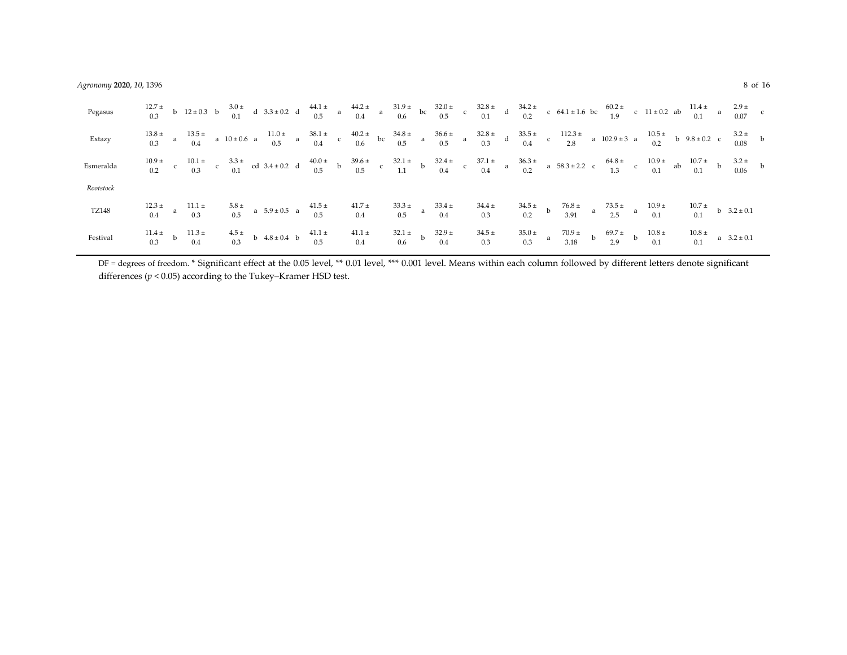| Pegasus   |  |                                          |  |                                                                                            |  |  |  |                                                            |  |  |                                                                                                                                                                                                                                                                                                                                                                           |  |  |  |                                                                 |  |
|-----------|--|------------------------------------------|--|--------------------------------------------------------------------------------------------|--|--|--|------------------------------------------------------------|--|--|---------------------------------------------------------------------------------------------------------------------------------------------------------------------------------------------------------------------------------------------------------------------------------------------------------------------------------------------------------------------------|--|--|--|-----------------------------------------------------------------|--|
| Extazy    |  |                                          |  |                                                                                            |  |  |  |                                                            |  |  | $\begin{array}{ccccccccccccccccccccccccc} 13.8 \pm & & & 13.5 \pm & & & & 13.5 \pm & & & & & 13.6 \pm & & & & 13.5 \pm & & & & & 13.6 \pm & & & & 13.6 \pm & & & & 13.6 \pm & & & & 13.6 \pm & & & & 13.6 \pm & & & & 13.6 \pm & & & & 13.6 \pm & & & & 13.6 \pm & & & & 13.6 \pm & & & & 13.6 \pm & & & & 13.6 \pm & & & & 13.6 \pm & & & & 13.6 \pm & & & & 13.6 \pm &$ |  |  |  |                                                                 |  |
| Esmeralda |  |                                          |  |                                                                                            |  |  |  |                                                            |  |  | $\begin{array}{ccccccccccccccccccccccccccccc} 10.9 & \pm & & & 10.1 & \pm & & 3.3 & \pm & & 3.3 & \pm & & 3.3 & \pm & 0.2 & \pm & & 40.0 & \pm & & 39.6 & \pm & & 32.1 & \pm & & 32.4 & \pm & & 37.1 & \pm & & 36.3 & \pm & & 36.3 & \pm & & 64.8 & \pm & & & 10.9 & \pm & & 10.7 & \pm & & 32.4 & \pm & & 39.6 & \pm & & 32.1 & \pm & & 32.4 & \pm & & 37.1 & \pm &$     |  |  |  |                                                                 |  |
| Rootstock |  |                                          |  |                                                                                            |  |  |  |                                                            |  |  |                                                                                                                                                                                                                                                                                                                                                                           |  |  |  |                                                                 |  |
| TZ148     |  |                                          |  |                                                                                            |  |  |  |                                                            |  |  |                                                                                                                                                                                                                                                                                                                                                                           |  |  |  |                                                                 |  |
| Festival  |  | $11.4 \pm 11.3 \pm 0.3$ b $11.3 \pm 0.4$ |  | $4.5 \pm 0.3$ b $4.8 \pm 0.4$ b $41.1 \pm 41.1 \pm 0.3$<br>0.3 b $4.8 \pm 0.4$ b $0.5$ 0.4 |  |  |  | $32.1 \pm 32.9 \pm 34.5 \pm 0.6$ b $32.9 \pm 34.5 \pm 0.3$ |  |  | $35.0 \pm 70.9 \pm 69.7 \pm 10.8 \pm 0.3$<br>0.3 a 3.18 b 2.9 b 0.1                                                                                                                                                                                                                                                                                                       |  |  |  | $\begin{array}{cc} 10.8 \pm \\ 0.1 \end{array}$ a $3.2 \pm 0.1$ |  |

DF <sup>=</sup> degrees of freedom. \* Significant effect at the 0.05 level, \*\* 0.01 level, \*\*\* 0.001 level. Means within each column followed by different letters denote significant differences (*p* <sup>&</sup>lt; 0.05) according to the Tukey–Kramer HSD test.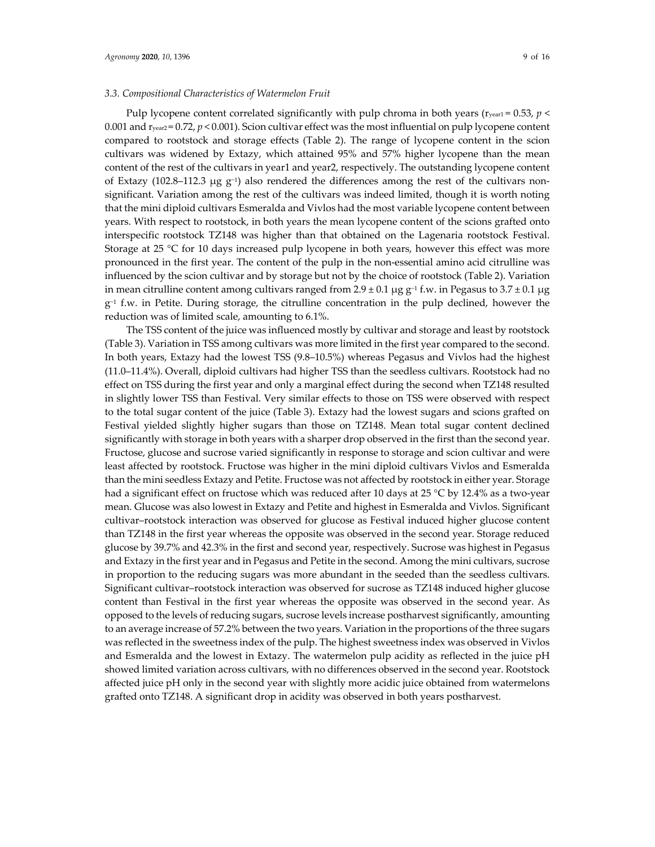### *3.3. Compositional Characteristics of Watermelon Fruit*

Pulp lycopene content correlated significantly with pulp chroma in both years ( $r_{\text{year1}} = 0.53$ ,  $p \le$ 0.001 and ryear2 = 0.72, *p* < 0.001). Scion cultivar effect was the most influential on pulp lycopene content compared to rootstock and storage effects (Table 2). The range of lycopene content in the scion cultivars was widened by Extazy, which attained 95% and 57% higher lycopene than the mean content of the rest of the cultivars in year1 and year2, respectively. The outstanding lycopene content of Extazy (102.8–112.3 µg  $g^{-1}$ ) also rendered the differences among the rest of the cultivars nonsignificant. Variation among the rest of the cultivars was indeed limited, though it is worth noting that the mini diploid cultivars Esmeralda and Vivlos had the most variable lycopene content between years. With respect to rootstock, in both years the mean lycopene content of the scions grafted onto interspecific rootstock TZ148 was higher than that obtained on the Lagenaria rootstock Festival. Storage at 25 °C for 10 days increased pulp lycopene in both years, however this effect was more pronounced in the first year. The content of the pulp in the non‐essential amino acid citrulline was influenced by the scion cultivar and by storage but not by the choice of rootstock (Table 2). Variation in mean citrulline content among cultivars ranged from  $2.9 \pm 0.1 \,\mu g \,g^{-1}$  f.w. in Pegasus to  $3.7 \pm 0.1 \,\mu g$ g−<sup>1</sup> f.w. in Petite. During storage, the citrulline concentration in the pulp declined, however the reduction was of limited scale, amounting to 6.1%.

The TSS content of the juice was influenced mostly by cultivar and storage and least by rootstock (Table 3). Variation in TSS among cultivars was more limited in the first year compared to the second. In both years, Extazy had the lowest TSS (9.8–10.5%) whereas Pegasus and Vivlos had the highest (11.0–11.4%). Overall, diploid cultivars had higher TSS than the seedless cultivars. Rootstock had no effect on TSS during the first year and only a marginal effect during the second when TZ148 resulted in slightly lower TSS than Festival. Very similar effects to those on TSS were observed with respect to the total sugar content of the juice (Table 3). Extazy had the lowest sugars and scions grafted on Festival yielded slightly higher sugars than those on TZ148. Mean total sugar content declined significantly with storage in both years with a sharper drop observed in the first than the second year. Fructose, glucose and sucrose varied significantly in response to storage and scion cultivar and were least affected by rootstock. Fructose was higher in the mini diploid cultivars Vivlos and Esmeralda than the mini seedless Extazy and Petite. Fructose was not affected by rootstock in either year. Storage had a significant effect on fructose which was reduced after 10 days at 25 °C by 12.4% as a two-year mean. Glucose was also lowest in Extazy and Petite and highest in Esmeralda and Vivlos. Significant cultivar–rootstock interaction was observed for glucose as Festival induced higher glucose content than TZ148 in the first year whereas the opposite was observed in the second year. Storage reduced glucose by 39.7% and 42.3% in the first and second year, respectively. Sucrose was highest in Pegasus and Extazy in the first year and in Pegasus and Petite in the second. Among the mini cultivars, sucrose in proportion to the reducing sugars was more abundant in the seeded than the seedless cultivars. Significant cultivar–rootstock interaction was observed for sucrose as TZ148 induced higher glucose content than Festival in the first year whereas the opposite was observed in the second year. As opposed to the levels of reducing sugars, sucrose levels increase postharvest significantly, amounting to an average increase of 57.2% between the two years. Variation in the proportions of the three sugars was reflected in the sweetness index of the pulp. The highest sweetness index was observed in Vivlos and Esmeralda and the lowest in Extazy. The watermelon pulp acidity as reflected in the juice pH showed limited variation across cultivars, with no differences observed in the second year. Rootstock affected juice pH only in the second year with slightly more acidic juice obtained from watermelons grafted onto TZ148. A significant drop in acidity was observed in both years postharvest.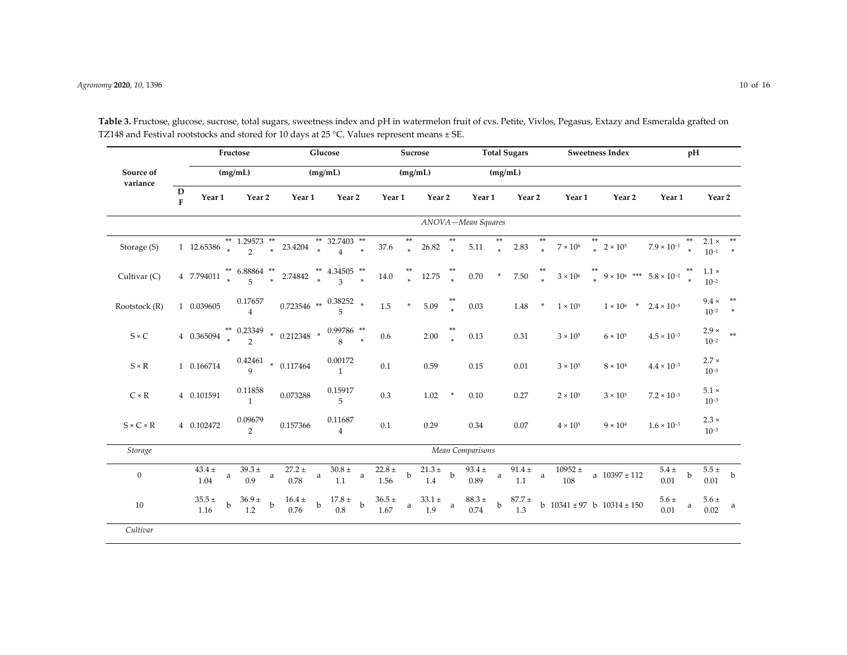|                       | Fructose                    |                          |              |                                 |              |                                  |             | Glucose                                  |             |                     | Sucrose        |                   |              |                       |              | <b>Total Sugars</b> |                |                    |        | <b>Sweetness Index</b>                   | pH                   |                |                              |                        |
|-----------------------|-----------------------------|--------------------------|--------------|---------------------------------|--------------|----------------------------------|-------------|------------------------------------------|-------------|---------------------|----------------|-------------------|--------------|-----------------------|--------------|---------------------|----------------|--------------------|--------|------------------------------------------|----------------------|----------------|------------------------------|------------------------|
| Source of             |                             |                          |              | (mg/mL)                         |              |                                  |             | (mg/mL)                                  |             |                     |                | (mg/mL)           |              |                       |              | (mg/mL)             |                |                    |        |                                          |                      |                |                              |                        |
| variance              | $\mathbf D$<br>$\mathbf{F}$ | Year 1                   |              | Year 2                          |              | Year 1                           |             | Year 2                                   |             | Year 1              |                | Year 2            |              | Year 1                |              | Year 2              | Year 1         |                    | Year 2 |                                          | Year 1               |                | Year <sub>2</sub>            |                        |
|                       |                             |                          |              |                                 |              |                                  |             |                                          |             |                     |                |                   |              | ANOVA-Mean Squares    |              |                     |                |                    |        |                                          |                      |                |                              |                        |
| Storage (S)           |                             | 1 12.65386 $*$           |              | ** 1.29573 **<br>$\overline{2}$ | $\ast$       | 23.4204                          | $\ast$      | ** 32.7403 **<br>$\overline{A}$          | $\star$     | 37.6                | $**$<br>$\ast$ | 26.82             | **<br>$\ast$ | 5.11                  | **<br>$\ast$ | 2.83                | $**$<br>$\ast$ | $7\times10^6$      | $**$   | $\star$ 2 × 10 <sup>5</sup>              | $7.9 \times 10^{-1}$ | $**$<br>$\ast$ | $2.1 \times$ **<br>$10^{-1}$ | $\ast$                 |
| Cultivar (C)          |                             | 4 7.794011 $\frac{3}{2}$ |              | ** 6.88864<br>$\overline{a}$    | $\star$      | 2.74842                          | $\ast$      | ** 4.34505 **<br>$\overline{\mathbf{a}}$ | $\ast$      | 14.0                |                | 12.75             |              | $0.70\,$              | $\ast$       | $7.50\,$            |                | $3\times10^6$      |        | $9 \times 10^6$ *** $5.8 \times 10^{-2}$ |                      |                | $1.1 \times$<br>$10^{-2}$    |                        |
| Rootstock (R)         |                             | 1 0.039605               |              | 0.17657<br>$\overline{4}$       |              | $0.723546\ \ast^{}0.38252\ \ast$ |             |                                          |             | 1.5                 | $\ast$         | 5.09              |              | 0.03                  |              | 1.48                | $\ast$         | $1 \times 10^5$    |        | $1 \times 10^6$ *                        | $2.4 \times 10^{-5}$ |                | $9.4 \times$<br>$10^{-2}$    | $***$<br>$\rightarrow$ |
| $S \times C$          |                             | 4 0.365094               |              |                                 |              | $0.23349$ * 0.212348 *           |             | 0.99786 **                               |             | 0.6                 |                | 2.00              |              | 0.13                  |              | 0.31                |                | $3 \times 10^5$    |        | $6 \times 10^5$                          | $4.5 \times 10^{-3}$ |                | $2.9\times$<br>$10^{-2}$     | $**$                   |
| $S \times R$          |                             | 1 0.166714               |              | 0.42461                         |              | $*$ 0.117464                     |             | 0.00172<br>$\mathbf{1}$                  |             | 0.1                 |                | 0.59              |              | 0.15                  |              | 0.01                |                | $3 \times 10^5$    |        | $8 \times 10^4$                          | $4.4 \times 10^{-3}$ |                | $2.7 \times$<br>$10^{-3}$    |                        |
| $C \times R$          |                             | 4 0.101591               |              | 0.11858<br>$\mathbf{1}$         |              | 0.073288                         |             | 0.15917<br>5                             |             | 0.3                 |                | 1.02              | $\ast$       | 0.10                  |              | 0.27                |                | $2 \times 10^5$    |        | $3 \times 10^5$                          | $7.2 \times 10^{-3}$ |                | $5.1 \times$<br>$10^{-3}$    |                        |
| $S \times C \times R$ |                             | 4 0.102472               |              | 0.09679<br>$\overline{2}$       |              | 0.157366                         |             | 0.11687<br>$\overline{4}$                |             | 0.1                 |                | 0.29              |              | 0.34                  |              | 0.07                |                | $4 \times 10^5$    |        | $9 \times 10^4$                          | $1.6 \times 10^{-3}$ |                | $2.3 \times$<br>$10^{-3}$    |                        |
| Storage               |                             |                          |              |                                 |              |                                  |             |                                          |             |                     |                |                   |              | Mean Comparisons      |              |                     |                |                    |        |                                          |                      |                |                              |                        |
| $\mathbf{0}$          |                             | $43.4 \pm$<br>1.04       | $\rm{a}$     | $39.3 \pm$<br>0.9               | a            | $27.2 \pm$<br>0.78               | $\rm{a}$    | $30.8\,\pm\,$<br>1.1                     | a           | $22.8\,\pm$<br>1.56 | $\mathbf b$    | $21.3 \pm$<br>1.4 | $\mathbf b$  | $93.4 \pm$<br>0.89    | a            | $91.4 \pm$<br>1.1   | $\rm{a}$       | $10952 \pm$<br>108 |        | a $10397 \pm 112$                        | $5.4\,\pm$<br>0.01   | $\mathbf b$    | $5.5\,\pm$<br>0.01           | $\mathbf b$            |
| 10                    |                             | $35.5\,\pm$<br>1.16      | $\mathbf{h}$ | $36.9 \pm$<br>1.2               | $\mathbf{h}$ | $16.4 \pm$<br>0.76               | $\mathbf b$ | $17.8\,\pm$<br>0.8                       | $\mathbf b$ | $36.5 \pm$<br>1.67  | a              | $33.1 \pm$<br>1.9 | $\mathbf{a}$ | $88.3\,\pm\,$<br>0.74 | $\mathbf b$  | $87.7 \pm$<br>1.3   |                |                    |        | b $10341 \pm 97$ b $10314 \pm 150$       | $5.6\,\pm$<br>0.01   | a              | $5.6\,\pm$<br>0.02           | a                      |
| Cultivar              |                             |                          |              |                                 |              |                                  |             |                                          |             |                     |                |                   |              |                       |              |                     |                |                    |        |                                          |                      |                |                              |                        |

**Table 3.** Fructose, glucose, sucrose, total sugars, sweetness index and p<sup>H</sup> in watermelon fruit of cvs. Petite, Vivlos, Pegasus, Extazy and Esmeralda grafted on TZ148 and Festival rootstocks and stored for 10 days at 25 °C. Values represent means  $\pm$  SE.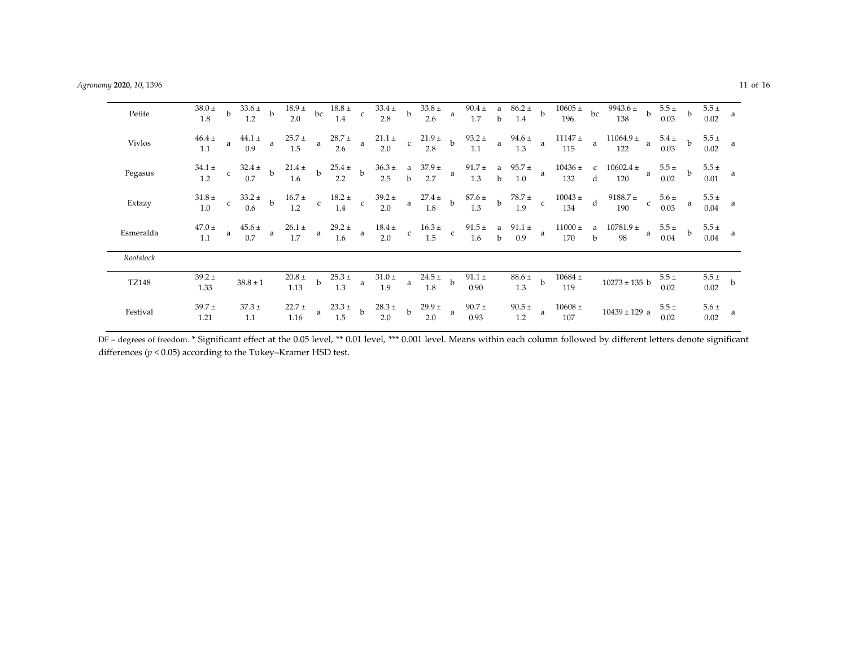| Petite        | $38.0 \pm$<br>1.8    | $\mathbf{b}$ | $33.6 \pm b$<br>1.2 |              | $18.9 \pm$<br>2.0     | bc           | $18.8 \pm c$<br>1.4 |              | $33.4 \pm b$<br>2.8                                                                                                              |              | $\begin{array}{c}\n33.8 \pm \phantom{0} \\ 2.6 \phantom{0}\n\end{array}$ |              |                     |              | 90.4 ± a $86.2 \pm$ b<br>1.7 b 1.4 b |              | $10605 \pm$ bc<br>196.                            |              | $\frac{1}{9943.6}$ + b<br>138    |   | $5.5\,\pm$<br>0.03             | $\mathbf b$  | $5.5 \pm$<br>0.02  | a           |
|---------------|----------------------|--------------|---------------------|--------------|-----------------------|--------------|---------------------|--------------|----------------------------------------------------------------------------------------------------------------------------------|--------------|--------------------------------------------------------------------------|--------------|---------------------|--------------|--------------------------------------|--------------|---------------------------------------------------|--------------|----------------------------------|---|--------------------------------|--------------|--------------------|-------------|
| <b>Vivlos</b> | $46.4 \pm$<br>1.1    | a            | $44.1 \pm$<br>0.9   | a            | $25.7 \pm$<br>1.5     | $\mathbf{a}$ | $28.7 \pm$<br>2.6   | $\mathbf{a}$ | $21.1 \pm$<br>2.0                                                                                                                | $\rm c$      | $21.9 \pm$<br>2.8                                                        | $\mathbf{b}$ | $93.2 \pm$<br>1.1   | $\mathbf{a}$ | $94.6 \pm$<br>1.3                    | $\mathbf{a}$ | $11147 +$<br>115                                  | $\mathbf{a}$ | $11064.9 \pm$<br>$\alpha$<br>122 |   | $5.4 \pm$<br>0.03              | $\mathbf b$  | $5.5 \pm$<br>0.02  | - a         |
| Pegasus       | $34.1 \pm$<br>1.2    | $\mathbf{C}$ | $32.4 \pm$<br>0.7   | $\mathbf{b}$ | $21.4 \pm$<br>1.6     | $\mathbf{b}$ | $25.4 \pm b$<br>2.2 |              |                                                                                                                                  |              | $36.3 \pm$ a $37.9 \pm$<br>2.5 b 2.7 a                                   |              |                     |              | 91.7 ± a $95.7 \pm 1.3$ b 1.0        | $\mathbf{a}$ | $10436 \pm$<br>132                                | $\mathbf d$  | c $10602.4 \pm$<br>120           | a | $5.5 \pm$<br>0.02              | $\mathbf b$  | $5.5 \pm$<br>0.01  |             |
| Extazy        | $31.8 \pm$<br>1.0    | $\mathsf{C}$ | $33.2 \pm$<br>0.6   | $\mathbf{b}$ | $16.7 \pm$<br>1.2     | $\mathbf{c}$ | $18.2 \pm 1.4$ c    |              | $\begin{array}{cc}\n39.2 \pm \phantom{000} & a \phantom{00} & 2! \\ 2.0 & \phantom{00} & \phantom{0} & \phantom{0}\n\end{array}$ |              | $27.4 \pm 1.8$ b                                                         |              | $87.6 \pm b$<br>1.3 |              | $78.7$ $\pm$<br>$\frac{1.9}{1.9}$ c  |              | $\begin{array}{r} 10043 \pm \\ 134 \end{array}$ d |              | $9188.7 \pm$<br>190              |   | $\pm$ c $\frac{5.6 \pm}{0.03}$ | $\mathbf{a}$ | $5.5\,\pm\,$ 0.04  | - a         |
| Esmeralda     | $47.0\,\pm\,$<br>1.1 | a            | $45.6 \pm$<br>0.7   | a            | $26.1 \pm$<br>1.7     | $\mathbf{a}$ | $29.2\,\pm$<br>1.6  | $\alpha$     | $18.4\,\pm$                                                                                                                      |              | $18.4 \pm$ c $16.3 \pm$ c 2.0 c 1.5 c                                    |              |                     |              | 91.5 ± a $91.1 \pm 1.6$ b 0.9        | $\mathbf{a}$ | $11000 \pm$<br>$170$ b                            |              | a $10781.9 \pm a$<br>98          |   | $5.5 \pm 0.04$                 | $b$          | $5.5 \pm$<br>0.04  | - a         |
| Rootstock     |                      |              |                     |              |                       |              |                     |              |                                                                                                                                  |              |                                                                          |              |                     |              |                                      |              |                                                   |              |                                  |   |                                |              |                    |             |
| TZ148         | $39.2 \pm$<br>1.33   |              | $38.8 \pm 1$        |              | $20.8\,\pm\,$<br>1.13 | $\mathbf b$  | $25.3 \pm$<br>1.3   | $\mathbf{a}$ | $31.0 \pm$<br>1.9                                                                                                                | $\mathbf{a}$ | $24.5 \pm b$<br>1.8                                                      |              | $91.1\pm$<br>0.90   |              | $rac{88.6 \pm}{4.2}$ b<br>1.3        |              | $10684~\pm$<br>119                                |              | $10273 \pm 135$ b                |   | $5.5 \pm$<br>0.02              |              | $5.5\,\pm$<br>0.02 | $\mathbf b$ |
| Festival      | $39.7 \pm$<br>1.21   |              | $37.3 \pm$<br>1.1   |              | $22.7 \pm$<br>1.16    | a            | $23.3 \pm b$<br>1.5 |              | $28.3 \pm$<br>2.0                                                                                                                | $\mathbf b$  | $29.9 \pm a$<br>2.0                                                      |              | $90.7 \pm$<br>0.93  |              | $90.5 \pm$<br>1.2                    | a.           | $10608 \pm$<br>107                                |              | $10439 \pm 129$ a                |   | $5.5 \pm$<br>0.02              |              | $5.6\,\pm$<br>0.02 | a           |

DF <sup>=</sup> degrees of freedom. \* Significant effect at the 0.05 level, \*\* 0.01 level, \*\*\* 0.001 level. Means within each column followed by different letters denote significant differences (*p* <sup>&</sup>lt; 0.05) according to the Tukey–Kramer HSD test.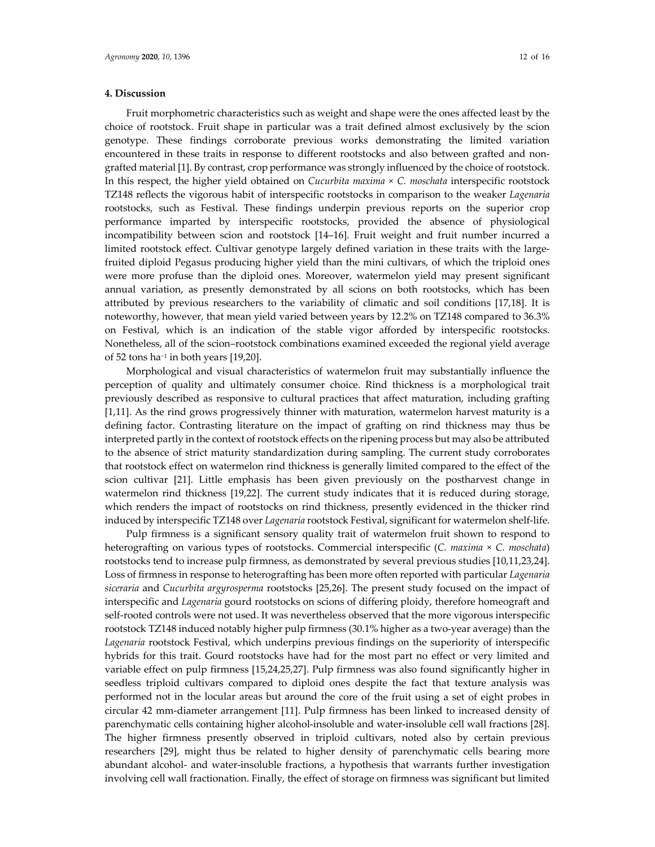## **4. Discussion**

Fruit morphometric characteristics such as weight and shape were the ones affected least by the choice of rootstock. Fruit shape in particular was a trait defined almost exclusively by the scion genotype. These findings corroborate previous works demonstrating the limited variation encountered in these traits in response to different rootstocks and also between grafted and nongrafted material [1]. By contrast, crop performance was strongly influenced by the choice ofrootstock. In this respect, the higher yield obtained on *Cucurbita maxima* × *C. moschata* interspecific rootstock TZ148 reflects the vigorous habit of interspecific rootstocks in comparison to the weaker *Lagenaria* rootstocks, such as Festival. These findings underpin previous reports on the superior crop performance imparted by interspecific rootstocks, provided the absence of physiological incompatibility between scion and rootstock [14–16]. Fruit weight and fruit number incurred a limited rootstock effect. Cultivar genotype largely defined variation in these traits with the largefruited diploid Pegasus producing higher yield than the mini cultivars, of which the triploid ones were more profuse than the diploid ones. Moreover, watermelon yield may present significant annual variation, as presently demonstrated by all scions on both rootstocks, which has been attributed by previous researchers to the variability of climatic and soil conditions [17,18]. It is noteworthy, however, that mean yield varied between years by 12.2% on TZ148 compared to 36.3% on Festival, which is an indication of the stable vigor afforded by interspecific rootstocks. Nonetheless, all of the scion–rootstock combinations examined exceeded the regional yield average of 52 tons ha−<sup>1</sup> in both years [19,20].

Morphological and visual characteristics of watermelon fruit may substantially influence the perception of quality and ultimately consumer choice. Rind thickness is a morphological trait previously described as responsive to cultural practices that affect maturation, including grafting [1,11]. As the rind grows progressively thinner with maturation, watermelon harvest maturity is a defining factor. Contrasting literature on the impact of grafting on rind thickness may thus be interpreted partly in the context of rootstock effects on the ripening process but may also be attributed to the absence of strict maturity standardization during sampling. The current study corroborates that rootstock effect on watermelon rind thickness is generally limited compared to the effect of the scion cultivar [21]. Little emphasis has been given previously on the postharvest change in watermelon rind thickness [19,22]. The current study indicates that it is reduced during storage, which renders the impact of rootstocks on rind thickness, presently evidenced in the thicker rind induced by interspecific TZ148 over *Lagenaria* rootstock Festival, significant for watermelon shelf‐life.

Pulp firmness is a significant sensory quality trait of watermelon fruit shown to respond to heterografting on various types of rootstocks. Commercial interspecific (*C. maxima* × *C. moschata*) rootstocks tend to increase pulp firmness, as demonstrated by several previous studies [10,11,23,24]. Loss of firmness in response to heterografting has been more often reported with particular *Lagenaria siceraria* and *Cucurbita argyrosperma* rootstocks [25,26]. The present study focused on the impact of interspecific and *Lagenaria* gourd rootstocks on scions of differing ploidy, therefore homeograft and self-rooted controls were not used. It was nevertheless observed that the more vigorous interspecific rootstock TZ148 induced notably higher pulp firmness (30.1% higher as a two-year average) than the *Lagenaria* rootstock Festival, which underpins previous findings on the superiority of interspecific hybrids for this trait. Gourd rootstocks have had for the most part no effect or very limited and variable effect on pulp firmness [15,24,25,27]. Pulp firmness was also found significantly higher in seedless triploid cultivars compared to diploid ones despite the fact that texture analysis was performed not in the locular areas but around the core of the fruit using a set of eight probes in circular 42 mm‐diameter arrangement [11]. Pulp firmness has been linked to increased density of parenchymatic cells containing higher alcohol‐insoluble and water‐insoluble cell wall fractions [28]. The higher firmness presently observed in triploid cultivars, noted also by certain previous researchers [29], might thus be related to higher density of parenchymatic cells bearing more abundant alcohol‐ and water‐insoluble fractions, a hypothesis that warrants further investigation involving cell wall fractionation. Finally, the effect of storage on firmness was significant but limited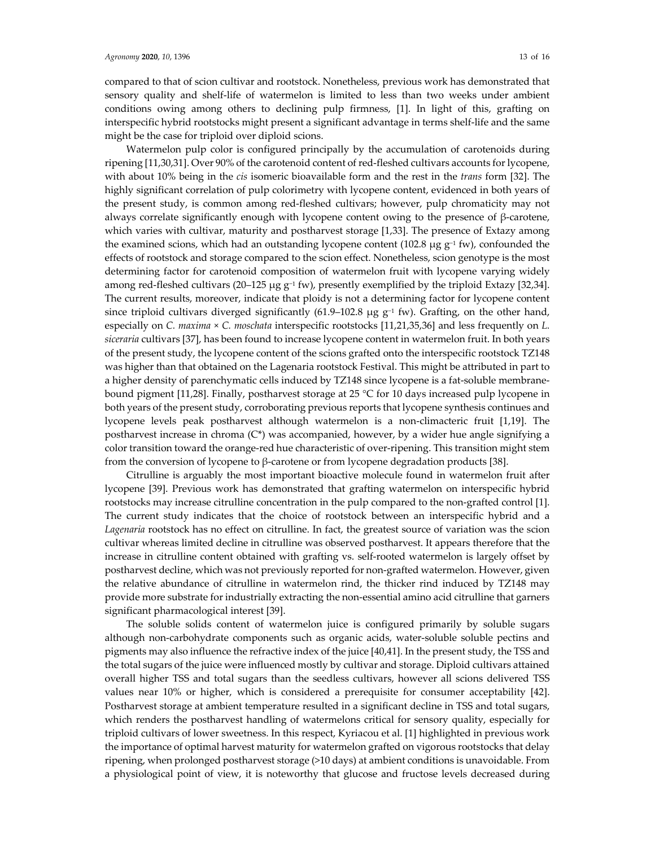compared to that of scion cultivar and rootstock. Nonetheless, previous work has demonstrated that sensory quality and shelf‐life of watermelon is limited to less than two weeks under ambient conditions owing among others to declining pulp firmness, [1]. In light of this, grafting on interspecific hybrid rootstocks might present a significant advantage in terms shelf‐life and the same might be the case for triploid over diploid scions.

Watermelon pulp color is configured principally by the accumulation of carotenoids during ripening [11,30,31]. Over 90% of the carotenoid content of red‐fleshed cultivars accounts forlycopene, with about 10% being in the *cis* isomeric bioavailable form and the rest in the *trans* form [32]. The highly significant correlation of pulp colorimetry with lycopene content, evidenced in both years of the present study, is common among red‐fleshed cultivars; however, pulp chromaticity may not always correlate significantly enough with lycopene content owing to the presence of  $\beta$ -carotene, which varies with cultivar, maturity and postharvest storage [1,33]. The presence of Extazy among the examined scions, which had an outstanding lycopene content (102.8 μg  $g^{-1}$  fw), confounded the effects of rootstock and storage compared to the scion effect. Nonetheless, scion genotype is the most determining factor for carotenoid composition of watermelon fruit with lycopene varying widely among red-fleshed cultivars (20–125 μg  $g^{-1}$  fw), presently exemplified by the triploid Extazy [32,34]. The current results, moreover, indicate that ploidy is not a determining factor for lycopene content since triploid cultivars diverged significantly (61.9–102.8  $\mu$ g g<sup>-1</sup> fw). Grafting, on the other hand, especially on *C. maxima* × *C. moschata* interspecific rootstocks [11,21,35,36] and less frequently on *L. siceraria* cultivars [37], has been found to increase lycopene content in watermelon fruit. In both years of the present study, the lycopene content of the scions grafted onto the interspecific rootstock TZ148 was higher than that obtained on the Lagenaria rootstock Festival. This might be attributed in part to a higher density of parenchymatic cells induced by TZ148 since lycopene is a fat-soluble membranebound pigment [11,28]. Finally, postharvest storage at 25 °C for 10 days increased pulp lycopene in both years of the present study, corroborating previous reports that lycopene synthesis continues and lycopene levels peak postharvest although watermelon is a non‐climacteric fruit [1,19]. The postharvest increase in chroma (C\*) was accompanied, however, by a wider hue angle signifying a color transition toward the orange‐red hue characteristic of over‐ripening. This transition might stem from the conversion of lycopene to β‐carotene or from lycopene degradation products [38].

Citrulline is arguably the most important bioactive molecule found in watermelon fruit after lycopene [39]. Previous work has demonstrated that grafting watermelon on interspecific hybrid rootstocks may increase citrulline concentration in the pulp compared to the non‐grafted control [1]. The current study indicates that the choice of rootstock between an interspecific hybrid and a *Lagenaria* rootstock has no effect on citrulline. In fact, the greatest source of variation was the scion cultivar whereas limited decline in citrulline was observed postharvest. It appears therefore that the increase in citrulline content obtained with grafting vs. self-rooted watermelon is largely offset by postharvest decline, which was not previously reported for non-grafted watermelon. However, given the relative abundance of citrulline in watermelon rind, the thicker rind induced by TZ148 may provide more substrate for industrially extracting the non‐essential amino acid citrulline that garners significant pharmacological interest [39].

The soluble solids content of watermelon juice is configured primarily by soluble sugars although non‐carbohydrate components such as organic acids, water‐soluble soluble pectins and pigments may also influence the refractive index of the juice [40,41]. In the present study, the TSS and the total sugars of the juice were influenced mostly by cultivar and storage. Diploid cultivars attained overall higher TSS and total sugars than the seedless cultivars, however all scions delivered TSS values near 10% or higher, which is considered a prerequisite for consumer acceptability [42]. Postharvest storage at ambient temperature resulted in a significant decline in TSS and total sugars, which renders the postharvest handling of watermelons critical for sensory quality, especially for triploid cultivars of lower sweetness. In this respect, Kyriacou et al. [1] highlighted in previous work the importance of optimal harvest maturity for watermelon grafted on vigorous rootstocks that delay ripening, when prolonged postharvest storage (>10 days) at ambient conditions is unavoidable. From a physiological point of view, it is noteworthy that glucose and fructose levels decreased during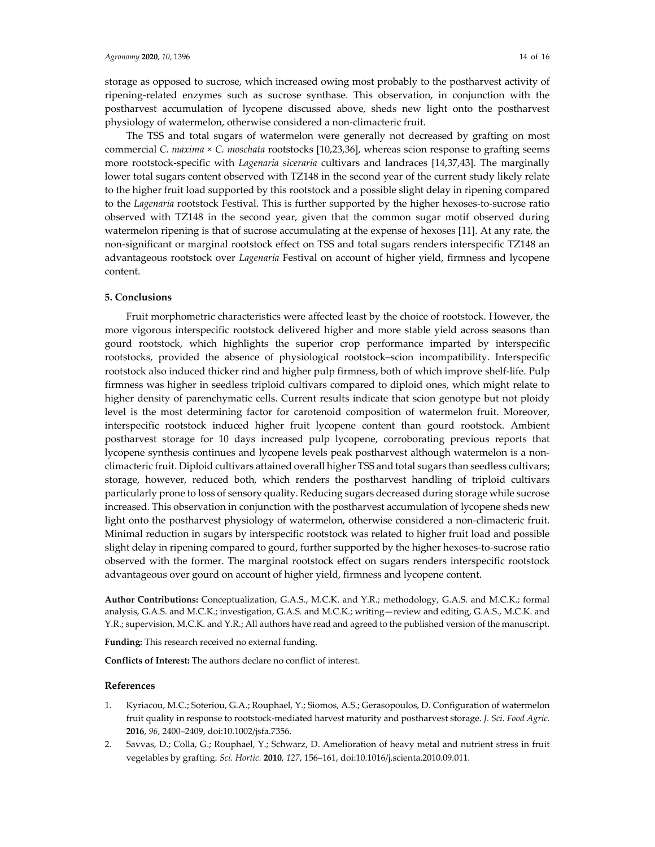storage as opposed to sucrose, which increased owing most probably to the postharvest activity of ripening‐related enzymes such as sucrose synthase. This observation, in conjunction with the postharvest accumulation of lycopene discussed above, sheds new light onto the postharvest physiology of watermelon, otherwise considered a non‐climacteric fruit.

The TSS and total sugars of watermelon were generally not decreased by grafting on most commercial *C. maxima* × *C. moschata* rootstocks [10,23,36], whereas scion response to grafting seems more rootstock‐specific with *Lagenaria siceraria* cultivars and landraces [14,37,43]. The marginally lower total sugars content observed with TZ148 in the second year of the current study likely relate to the higher fruit load supported by this rootstock and a possible slight delay in ripening compared to the *Lagenaria* rootstock Festival. This is further supported by the higher hexoses-to-sucrose ratio observed with TZ148 in the second year, given that the common sugar motif observed during watermelon ripening is that of sucrose accumulating at the expense of hexoses [11]. At any rate, the non‐significant or marginal rootstock effect on TSS and total sugars renders interspecific TZ148 an advantageous rootstock over *Lagenaria* Festival on account of higher yield, firmness and lycopene content.

## **5. Conclusions**

Fruit morphometric characteristics were affected least by the choice of rootstock. However, the more vigorous interspecific rootstock delivered higher and more stable yield across seasons than gourd rootstock, which highlights the superior crop performance imparted by interspecific rootstocks, provided the absence of physiological rootstock–scion incompatibility. Interspecific rootstock also induced thicker rind and higher pulp firmness, both of which improve shelf‐life. Pulp firmness was higher in seedless triploid cultivars compared to diploid ones, which might relate to higher density of parenchymatic cells. Current results indicate that scion genotype but not ploidy level is the most determining factor for carotenoid composition of watermelon fruit. Moreover, interspecific rootstock induced higher fruit lycopene content than gourd rootstock. Ambient postharvest storage for 10 days increased pulp lycopene, corroborating previous reports that lycopene synthesis continues and lycopene levels peak postharvest although watermelon is a nonclimacteric fruit. Diploid cultivars attained overall higher TSS and total sugars than seedless cultivars; storage, however, reduced both, which renders the postharvest handling of triploid cultivars particularly prone to loss of sensory quality. Reducing sugars decreased during storage while sucrose increased. This observation in conjunction with the postharvest accumulation of lycopene sheds new light onto the postharvest physiology of watermelon, otherwise considered a non-climacteric fruit. Minimal reduction in sugars by interspecific rootstock was related to higher fruit load and possible slight delay in ripening compared to gourd, further supported by the higher hexoses-to-sucrose ratio observed with the former. The marginal rootstock effect on sugars renders interspecific rootstock advantageous over gourd on account of higher yield, firmness and lycopene content.

**Author Contributions:** Conceptualization, G.A.S., M.C.K. and Y.R.; methodology, G.A.S. and M.C.K.; formal analysis, G.A.S. and M.C.K.; investigation, G.A.S. and M.C.K.; writing—review and editing, G.A.S., M.C.K. and Y.R.; supervision, M.C.K. and Y.R.; All authors have read and agreed to the published version of the manuscript.

**Funding:** This research received no external funding.

**Conflicts of Interest:** The authors declare no conflict of interest.

#### **References**

- 1. Kyriacou, M.C.; Soteriou, G.A.; Rouphael, Y.; Siomos, A.S.; Gerasopoulos, D. Configuration of watermelon fruit quality in response to rootstock‐mediated harvest maturity and postharvest storage. *J. Sci. Food Agric.* **2016**, *96*, 2400–2409, doi:10.1002/jsfa.7356.
- 2. Savvas, D.; Colla, G.; Rouphael, Y.; Schwarz, D. Amelioration of heavy metal and nutrient stress in fruit vegetables by grafting. *Sci. Hortic.* **2010**, *127*, 156–161, doi:10.1016/j.scienta.2010.09.011.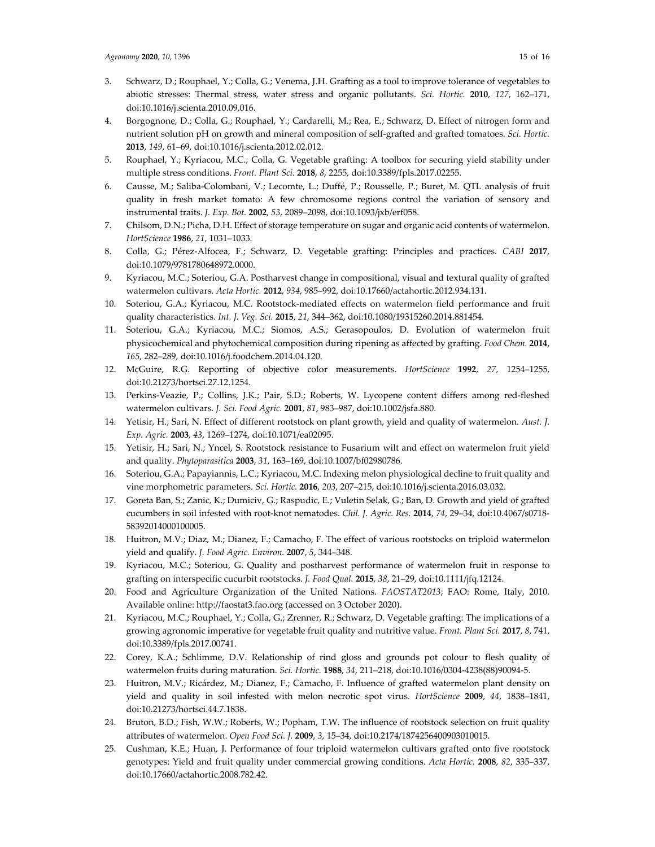- 3. Schwarz, D.; Rouphael, Y.; Colla, G.; Venema, J.H. Grafting as a tool to improve tolerance of vegetables to abiotic stresses: Thermal stress, water stress and organic pollutants. *Sci. Hortic.* **2010**, *127*, 162–171, doi:10.1016/j.scienta.2010.09.016.
- 4. Borgognone, D.; Colla, G.; Rouphael, Y.; Cardarelli, M.; Rea, E.; Schwarz, D. Effect of nitrogen form and nutrient solution pH on growth and mineral composition of self‐grafted and grafted tomatoes. *Sci. Hortic.* **2013**, *149*, 61–69, doi:10.1016/j.scienta.2012.02.012.
- 5. Rouphael, Y.; Kyriacou, M.C.; Colla, G. Vegetable grafting: A toolbox for securing yield stability under multiple stress conditions. *Front. Plant Sci.* **2018**, *8*, 2255, doi:10.3389/fpls.2017.02255.
- 6. Causse, M.; Saliba‐Colombani, V.; Lecomte, L.; Duffé, P.; Rousselle, P.; Buret, M. QTL analysis of fruit quality in fresh market tomato: A few chromosome regions control the variation of sensory and instrumental traits. *J. Exp. Bot.* **2002**, *53*, 2089–2098, doi:10.1093/jxb/erf058.
- 7. Chilsom, D.N.; Picha, D.H. Effect of storage temperature on sugar and organic acid contents of watermelon. *HortScience* **1986**, *21*, 1031–1033.
- 8. Colla, G.; Pérez‐Alfocea, F.; Schwarz, D. Vegetable grafting: Principles and practices. *CABI* **2017**, doi:10.1079/9781780648972.0000.
- 9. Kyriacou, M.C.; Soteriou, G.A. Postharvest change in compositional, visual and textural quality of grafted watermelon cultivars. *Acta Hortic.* **2012**, *934*, 985–992, doi:10.17660/actahortic.2012.934.131.
- 10. Soteriou, G.A.; Kyriacou, M.C. Rootstock‐mediated effects on watermelon field performance and fruit quality characteristics. *Int. J. Veg. Sci.* **2015**, *21*, 344–362, doi:10.1080/19315260.2014.881454.
- 11. Soteriou, G.A.; Kyriacou, M.C.; Siomos, A.S.; Gerasopoulos, D. Evolution of watermelon fruit physicochemical and phytochemical composition during ripening as affected by grafting. *Food Chem.* **2014**, *165*, 282–289, doi:10.1016/j.foodchem.2014.04.120.
- 12. McGuire, R.G. Reporting of objective color measurements. *HortScience* **1992**, *27*, 1254–1255, doi:10.21273/hortsci.27.12.1254.
- 13. Perkins‐Veazie, P.; Collins, J.K.; Pair, S.D.; Roberts, W. Lycopene content differs among red‐fleshed watermelon cultivars. *J. Sci. Food Agric.* **2001**, *81*, 983–987, doi:10.1002/jsfa.880.
- 14. Yetisir, H.; Sari, N. Effect of different rootstock on plant growth, yield and quality of watermelon. *Aust. J. Exp. Agric.* **2003**, *43*, 1269–1274, doi:10.1071/ea02095.
- 15. Yetisir, H.; Sari, N.; Yncel, S. Rootstock resistance to Fusarium wilt and effect on watermelon fruit yield and quality. *Phytoparasitica* **2003**, *31*, 163–169, doi:10.1007/bf02980786.
- 16. Soteriou, G.A.; Papayiannis, L.C.; Kyriacou, M.C. Indexing melon physiological decline to fruit quality and vine morphometric parameters. *Sci. Hortic.* **2016**, *203*, 207–215, doi:10.1016/j.scienta.2016.03.032.
- 17. Goreta Ban, S.; Zanic, K.; Dumiciv, G.; Raspudic, E.; Vuletin Selak, G.; Ban, D. Growth and yield of grafted cucumbers in soil infested with root‐knot nematodes. *Chil. J. Agric. Res.* **2014**, *74*, 29–34, doi:10.4067/s0718‐ 58392014000100005.
- 18. Huitron, M.V.; Diaz, M.; Dianez, F.; Camacho, F. The effect of various rootstocks on triploid watermelon yield and qualify. *J. Food Agric. Environ.* **2007**, *5*, 344–348.
- 19. Kyriacou, M.C.; Soteriou, G. Quality and postharvest performance of watermelon fruit in response to grafting on interspecific cucurbit rootstocks. *J. Food Qual.* **2015**, *38*, 21–29, doi:10.1111/jfq.12124.
- 20. Food and Agriculture Organization of the United Nations. *FAOSTAT2013*; FAO: Rome, Italy, 2010. Available online: http://faostat3.fao.org (accessed on 3 October 2020).
- 21. Kyriacou, M.C.; Rouphael, Y.; Colla, G.; Zrenner, R.; Schwarz, D. Vegetable grafting: The implications of a growing agronomic imperative for vegetable fruit quality and nutritive value. *Front. Plant Sci.* **2017**, *8*, 741, doi:10.3389/fpls.2017.00741.
- 22. Corey, K.A.; Schlimme, D.V. Relationship of rind gloss and grounds pot colour to flesh quality of watermelon fruits during maturation. *Sci. Hortic.* **1988**, *34*, 211–218, doi:10.1016/0304‐4238(88)90094‐5.
- 23. Huitron, M.V.; Ricárdez, M.; Dianez, F.; Camacho, F. Influence of grafted watermelon plant density on yield and quality in soil infested with melon necrotic spot virus*. HortScience* **2009**, *44*, 1838–1841, doi:10.21273/hortsci.44.7.1838.
- 24. Bruton, B.D.; Fish, W.W.; Roberts, W.; Popham, T.W. The influence of rootstock selection on fruit quality attributes of watermelon. *Open Food Sci. J.* **2009**, *3*, 15–34, doi:10.2174/1874256400903010015.
- 25. Cushman, K.E.; Huan, J. Performance of four triploid watermelon cultivars grafted onto five rootstock genotypes: Yield and fruit quality under commercial growing conditions. *Acta Hortic.* **2008**, *82*, 335–337, doi:10.17660/actahortic.2008.782.42.